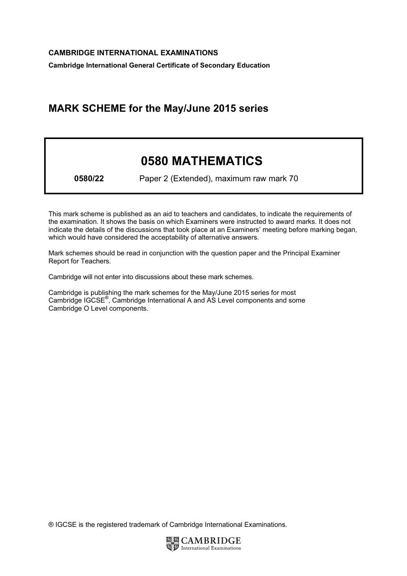Cambridge International General Certificate of Secondary Education

## MARK SCHEME for the May/June 2015 series

## 0580 MATHEMATICS

0580/22 Paper 2 (Extended), maximum raw mark 70

This mark scheme is published as an aid to teachers and candidates, to indicate the requirements of the examination. It shows the basis on which Examiners were instructed to award marks. It does not indicate the details of the discussions that took place at an Examiners' meeting before marking began, which would have considered the acceptability of alternative answers.

Mark schemes should be read in conjunction with the question paper and the Principal Examiner Report for Teachers.

Cambridge will not enter into discussions about these mark schemes.

Cambridge is publishing the mark schemes for the May/June 2015 series for most Cambridge IGCSE*®* , Cambridge International A and AS Level components and some Cambridge O Level components.

® IGCSE is the registered trademark of Cambridge International Examinations.

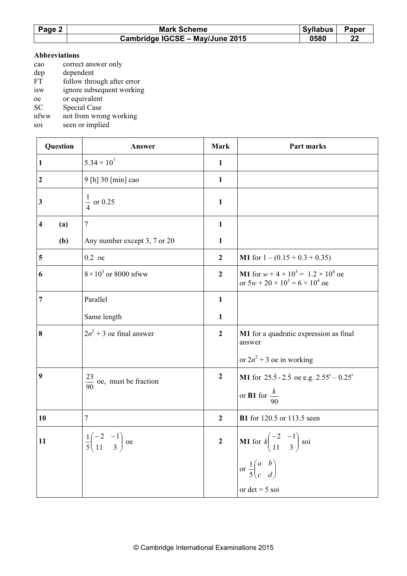| Page 2 | <b>Syllabus</b><br><b>Mark Scheme</b> |      | <b>Paper</b> |
|--------|---------------------------------------|------|--------------|
|        | Cambridge IGCSE - May/June 2015       | 0580 |              |

## Abbreviations

- cao correct answer only
- dep dependent<br>FT follow thro
- follow through after error
- isw ignore subsequent working
- oe or equivalent
- SC Special Case<br>nfww not from wron
- not from wrong working
- soi seen or implied

| Question         | Answer                                                           | <b>Mark</b>      | Part marks                                                                                            |
|------------------|------------------------------------------------------------------|------------------|-------------------------------------------------------------------------------------------------------|
| $\mathbf{1}$     | $5.34 \times 10^{7}$                                             | $\mathbf{1}$     |                                                                                                       |
| $\boldsymbol{2}$ | 9 [h] 30 [min] cao                                               | $\mathbf{1}$     |                                                                                                       |
| 3                | $\frac{1}{4}$ or 0.25                                            | $\mathbf{1}$     |                                                                                                       |
| 4<br>(a)         | 7                                                                | $\mathbf{1}$     |                                                                                                       |
| (b)              | Any number except 3, 7 or 20                                     | $\mathbf{1}$     |                                                                                                       |
| 5                | $0.2$ oe                                                         | $\boldsymbol{2}$ | <b>M1</b> for $1 - (0.15 + 0.3 + 0.35)$                                                               |
| 6                | $8 \times 10^3$ or 8000 nfww                                     | $\overline{2}$   | <b>M1</b> for $w + 4 \times 10^3 = 1.2 \times 10^4$ oe<br>or $5w + 20 \times 10^3 = 6 \times 10^4$ oe |
| 7                | Parallel                                                         | $\mathbf{1}$     |                                                                                                       |
|                  | Same length                                                      | $\mathbf{1}$     |                                                                                                       |
| 8                | $2n^2 + 3$ oe final answer                                       | $\boldsymbol{2}$ | M1 for a quadratic expression as final<br>answer                                                      |
|                  |                                                                  |                  | or $2n^2 + 3$ oe in working                                                                           |
| 9                | $\frac{23}{90}$ oe, must be fraction                             | $\boldsymbol{2}$ | <b>M1</b> for 25.5 - 2.5 oe e.g. $2.55^{\text{r}} - 0.25^{\text{r}}$                                  |
|                  |                                                                  |                  | or <b>B1</b> for $\frac{k}{90}$                                                                       |
| 10               | $\tau$                                                           | $\boldsymbol{2}$ | <b>B1</b> for 120.5 or 113.5 seen                                                                     |
| 11               | $\frac{1}{5} \begin{pmatrix} -2 & -1 \\ 11 & 3 \end{pmatrix}$ oe | $\overline{2}$   | <b>M1</b> for $k \begin{pmatrix} -2 & -1 \\ 11 & 3 \end{pmatrix}$ soi                                 |
|                  |                                                                  |                  | or $\frac{1}{5} \begin{pmatrix} a & b \\ c & d \end{pmatrix}$                                         |
|                  |                                                                  |                  | or $det = 5$ soi                                                                                      |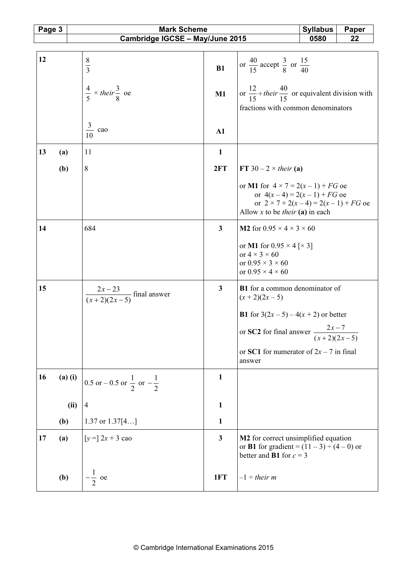| Page 3 |             | <b>Mark Scheme</b><br><b>Syllabus</b><br>Paper  |              |                                                                                                                                 |      |    |
|--------|-------------|-------------------------------------------------|--------------|---------------------------------------------------------------------------------------------------------------------------------|------|----|
|        |             | Cambridge IGCSE - May/June 2015                 |              |                                                                                                                                 | 0580 | 22 |
| 12     |             | $\frac{8}{3}$                                   |              | or $\frac{40}{15}$ accept $\frac{3}{8}$ or $\frac{15}{40}$                                                                      |      |    |
|        |             |                                                 | B1           |                                                                                                                                 |      |    |
|        |             | $rac{4}{5} \times$ their $rac{3}{8}$ oe         | M1           | or $\frac{12}{15}$ ÷ their $\frac{40}{15}$ or equivalent division with                                                          |      |    |
|        |             |                                                 |              | fractions with common denominators                                                                                              |      |    |
|        |             | $\frac{3}{10}$ cao                              | A1           |                                                                                                                                 |      |    |
| 13     | (a)         | 11                                              | $\mathbf{1}$ |                                                                                                                                 |      |    |
|        | (b)         | 8                                               | 2FT          | FT 30 – 2 $\times$ their (a)                                                                                                    |      |    |
|        |             |                                                 |              | or M1 for $4 \times 7 = 2(x-1) + FG$ oe<br>or $4(x-4) = 2(x-1) + FG$ oe<br>or $2 \times 7 + 2(x-4) = 2(x-1) + FG$ oe            |      |    |
|        |             |                                                 |              | Allow x to be <i>their</i> (a) in each                                                                                          |      |    |
| 14     |             | 684                                             | 3            | <b>M2</b> for $0.95 \times 4 \times 3 \times 60$                                                                                |      |    |
|        |             |                                                 |              | or M1 for $0.95 \times 4$ [ $\times$ 3]<br>or $4 \times 3 \times 60$                                                            |      |    |
|        |             |                                                 |              | or $0.95 \times 3 \times 60$<br>or $0.95 \times 4 \times 60$                                                                    |      |    |
| 15     |             | $\frac{2x-23}{(x+2)(2x-5)}$ final answer        | 3            | <b>B1</b> for a common denominator of<br>$(x+2)(2x-5)$                                                                          |      |    |
|        |             |                                                 |              | <b>B1</b> for $3(2x-5) - 4(x + 2)$ or better                                                                                    |      |    |
|        |             |                                                 |              | $2x - 7$<br>or SC2 for final answer $-$<br>$(x+2)(2x-5)$                                                                        |      |    |
|        |             |                                                 |              | or SC1 for numerator of $2x - 7$ in final<br>answer                                                                             |      |    |
| 16     | $(a)$ $(i)$ | 0.5 or – 0.5 or $\frac{1}{2}$ or $-\frac{1}{2}$ | $\mathbf{1}$ |                                                                                                                                 |      |    |
|        | (ii)        | 4                                               | 1            |                                                                                                                                 |      |    |
|        | (b)         | 1.37 or $1.37[4]$                               | 1            |                                                                                                                                 |      |    |
| 17     | (a)         | [ $y =$ ] 2x + 3 cao                            | 3            | M2 for correct unsimplified equation<br>or <b>B1</b> for gradient = $(11 – 3) ÷ (4 – 0)$ or<br>better and <b>B1</b> for $c = 3$ |      |    |
|        | (b)         | $-\frac{1}{2}$ oe                               | 1FT          | $-1 \div$ their m                                                                                                               |      |    |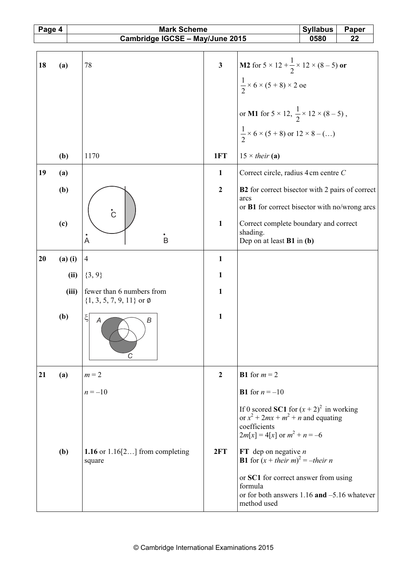| Page 4 |             | <b>Mark Scheme</b>                                        |                  | <b>Syllabus</b>                                                                                                                         | Paper |  |
|--------|-------------|-----------------------------------------------------------|------------------|-----------------------------------------------------------------------------------------------------------------------------------------|-------|--|
|        |             | Cambridge IGCSE - May/June 2015                           |                  | 0580                                                                                                                                    | 22    |  |
|        |             |                                                           |                  |                                                                                                                                         |       |  |
| 18     | (a)         | 78                                                        | $\mathbf{3}$     | <b>M2</b> for $5 \times 12 + \frac{1}{2} \times 12 \times (8 - 5)$ or                                                                   |       |  |
|        |             |                                                           |                  | $\frac{1}{2}$ × 6 × (5 + 8) × 2 oe                                                                                                      |       |  |
|        |             |                                                           |                  |                                                                                                                                         |       |  |
|        |             |                                                           |                  | or M1 for $5 \times 12$ , $\frac{1}{2} \times 12 \times (8-5)$ ,                                                                        |       |  |
|        |             |                                                           |                  | $\frac{1}{2}$ × 6 × (5 + 8) or 12 × 8 – ()                                                                                              |       |  |
|        | (b)         | 1170                                                      | 1FT              | $15 \times$ their (a)                                                                                                                   |       |  |
| 19     | (a)         |                                                           | $\mathbf{1}$     | Correct circle, radius 4 cm centre C                                                                                                    |       |  |
|        | (b)         |                                                           | $\overline{2}$   | B2 for correct bisector with 2 pairs of correct                                                                                         |       |  |
|        |             | $\rm \dot{C}$                                             |                  | arcs<br>or B1 for correct bisector with no/wrong arcs                                                                                   |       |  |
|        | (c)         |                                                           | $\mathbf{1}$     | Correct complete boundary and correct                                                                                                   |       |  |
|        |             | $\mathring{A}$<br>B                                       |                  | shading.<br>Dep on at least <b>B1</b> in (b)                                                                                            |       |  |
| 20     | $(a)$ $(i)$ | $\overline{4}$                                            | $\mathbf{1}$     |                                                                                                                                         |       |  |
|        | (ii)        | $\{3, 9\}$                                                | $\mathbf{1}$     |                                                                                                                                         |       |  |
|        | (iii)       | fewer than 6 numbers from<br>$\{1, 3, 5, 7, 9, 11\}$ or Ø | $\mathbf{1}$     |                                                                                                                                         |       |  |
|        | (b)         | ξ<br>В<br>A<br>$\overline{C}$                             | $\mathbf{1}$     |                                                                                                                                         |       |  |
| 21     | (a)         | $m = 2$                                                   | $\boldsymbol{2}$ | <b>B1</b> for $m = 2$                                                                                                                   |       |  |
|        |             | $n = -10$                                                 |                  | <b>B1</b> for $n = -10$                                                                                                                 |       |  |
|        |             |                                                           |                  | If 0 scored SC1 for $(x + 2)^2$ in working<br>or $x^2 + 2mx + m^2 + n$ and equating<br>coefficients<br>$2m[x] = 4[x]$ or $m^2 + n = -6$ |       |  |
|        | (b)         | 1.16 or $1.16[2]$ from completing<br>square               | 2FT              | FT dep on negative $n$<br><b>B1</b> for $(x + their m)^2 = -their n$                                                                    |       |  |
|        |             |                                                           |                  | or SC1 for correct answer from using<br>formula<br>or for both answers $1.16$ and $-5.16$ whatever<br>method used                       |       |  |